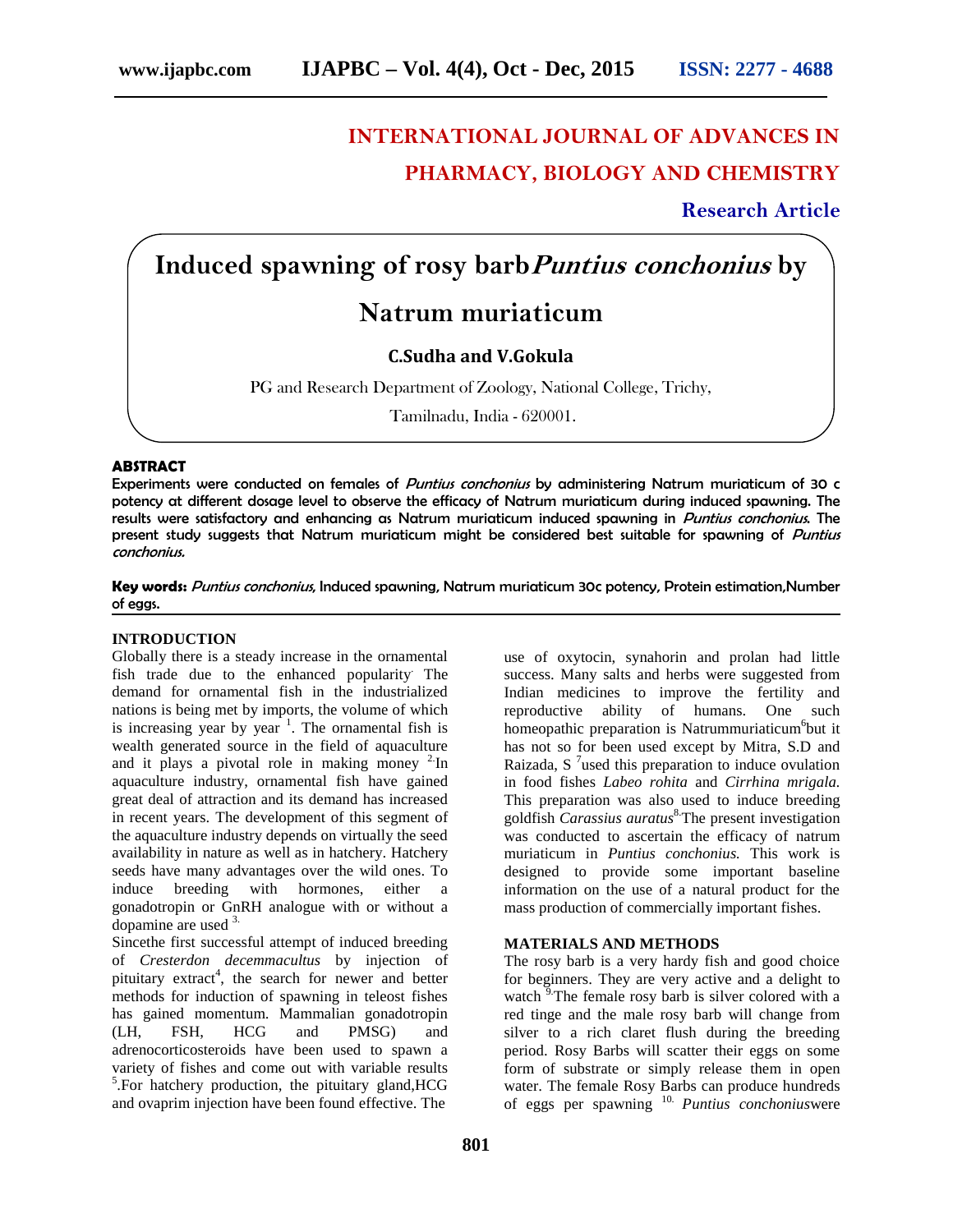# **INTERNATIONAL JOURNAL OF ADVANCES IN PHARMACY, BIOLOGY AND CHEMISTRY**

**Research Article**

# **Induced spawning of rosy barb***Puntius conchonius* **by Natrum muriaticum**

## **C.Sudha and V.Gokula**

PG and Research Department of Zoology, National College, Trichy,

Tamilnadu, India - 620001.

#### **ABSTRACT**

Experiments were conducted on females of *Puntius conchonius* by administering Natrum muriaticum of 30 c potency at different dosage level to observe the efficacy of Natrum muriaticum during induced spawning. The results were satisfactory and enhancing as Natrum muriaticum induced spawning in *Puntius conchonius*. The present study suggests that Natrum muriaticum might be considered best suitable for spawning of *Puntius conchonius.*

**Key words:** *Puntius conchonius*, Induced spawning, Natrum muriaticum 30c potency, Protein estimation,Number of eggs.

### **INTRODUCTION**

Globally there is a steady increase in the ornamental fish trade due to the enhanced popularity. The demand for ornamental fish in the industrialized nations is being met by imports, the volume of which is increasing year by year  $\frac{1}{1}$ . The ornamental fish is wealth generated source in the field of aquaculture and it plays a pivotal role in making money  $2\text{In}$ aquaculture industry, ornamental fish have gained great deal of attraction and its demand has increased in recent years. The development of this segment of the aquaculture industry depends on virtually the seed availability in nature as well as in hatchery. Hatchery seeds have many advantages over the wild ones. To induce breeding with hormones, either a gonadotropin or GnRH analogue with or without a dopamine are used 3.

Sincethe first successful attempt of induced breeding of *Cresterdon decemmacultus* by injection of pituitary extract<sup>4</sup>, the search for newer and better methods for induction of spawning in teleost fishes has gained momentum. Mammalian gonadotropin (LH, FSH, HCG and PMSG) and adrenocorticosteroids have been used to spawn a variety of fishes and come out with variable results <sup>5</sup>. For hatchery production, the pituitary gland, HCG wate and ovaprim injection have been found effective. The

use of oxytocin, synahorin and prolan had little success. Many salts and herbs were suggested from Indian medicines to improve the fertility and reproductive ability of humans. One such homeopathic preparation is Natrummuriaticum<sup>6</sup>but it has not so for been used except by Mitra, S.D and Raizada, S<sup>7</sup>used this preparation to induce ovulation in food fishes *Labeo rohita* and *Cirrhina mrigala.* This preparation was also used to induce breeding goldfish *Carassius auratus*8.The present investigation was conducted to ascertain the efficacy of natrum muriaticum in *Puntius conchonius.* This work is designed to provide some important baseline information on the use of a natural product for the mass production of commercially important fishes.

#### **MATERIALS AND METHODS**

The rosy barb is a very hardy fish and good choice for beginners. They are very active and a delight to watch  $9^{\circ}$ . The female rosy barb is silver colored with a red tinge and the male rosy barb will change from silver to a rich claret flush during the breeding period. Rosy Barbs will scatter their eggs on some form of substrate or simply release them in open water. The female Rosy Barbs can produce hundreds of eggs per spawning 10. *Puntius conchonius*were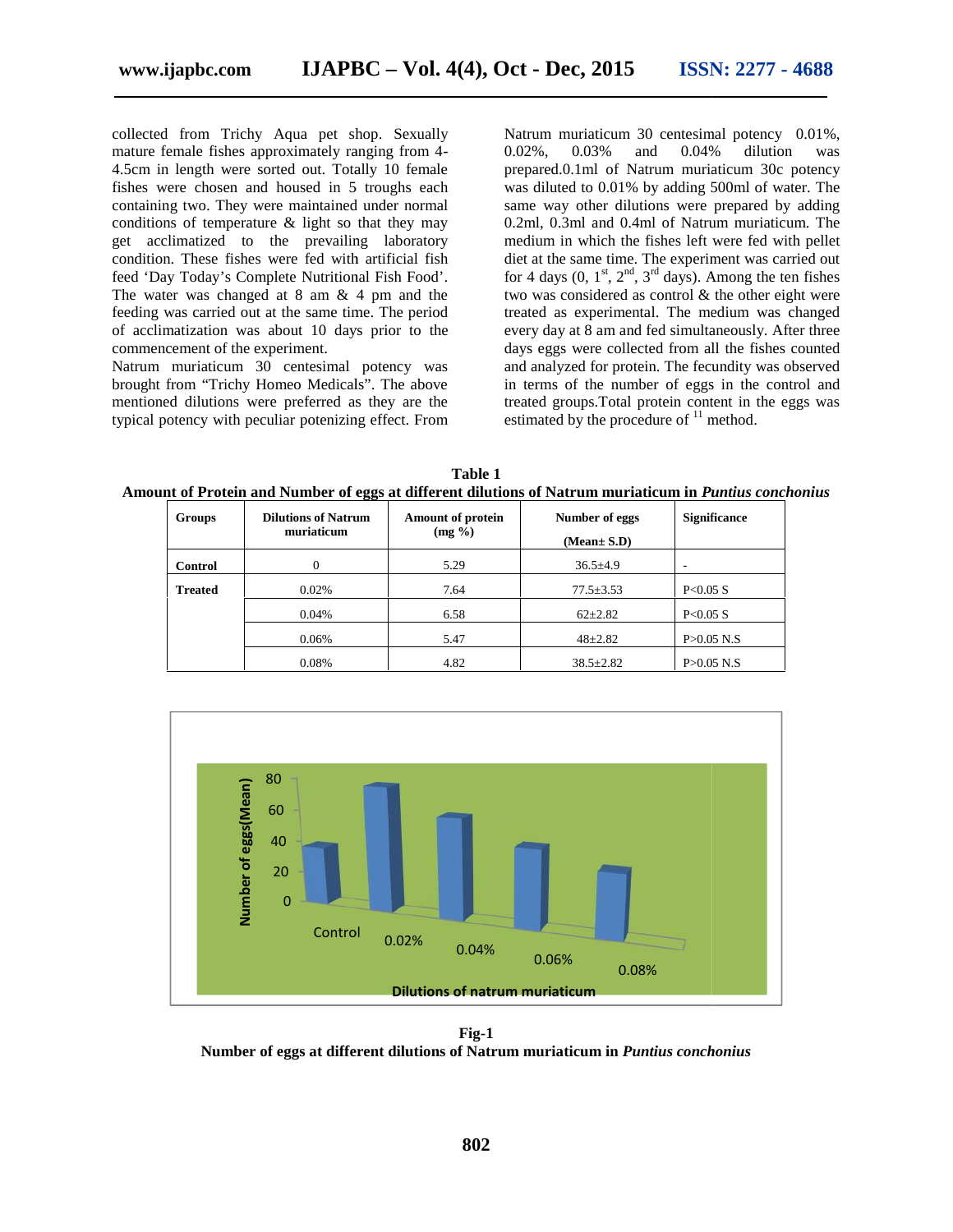collected from Trichy Aqua pet shop. Sexually mature female fishes approximately ranging from 4 mature female fishes approximately ranging from 4-<br>4.5cm in length were sorted out. Totally 10 female fishes were chosen and housed in 5 troughs each containing two. They were maintained under normal conditions of temperature & light so that they may get acclimatized to the prevailing laboratory condition. These fishes were fed with artificial fish feed 'Day Today's Complete Nutritional Fish Food'. The water was changed at 8 am & 4 pm and the feeding was carried out at the same time. The period The water was changed at  $8 \text{ am } \& 4 \text{ pm}$  and the feeding was carried out at the same time. The period of acclimatization was about  $10 \text{ days}$  prior to the commencement of the experiment. commencement of the experiment.<br>Natrum muriaticum 30 centesimal potency was ining two. They were maintained under normal<br>tions of temperature  $\&$  light so that they may<br>acclimatized to the prevailing laboratory

brought from "Trichy Homeo Medicals". The above mentioned dilutions were preferred as they are the typical potency with peculiar potenizing effect. From

Natrum muriaticum 30 centesimal potency 0.01%, 0.02%, 0.03% and 0.04% dilution was prepared.0.1ml of Natrum muriaticum 30c potency was diluted to 0.01% by adding 500ml of water. The same way other dilutions were prepared by adding 0.2ml, 0.3ml and 0.4ml of Natrum muriaticum. The medium in which the fishes left were fed with pellet diet at the same time. The experiment was carried out for 4 days  $(0, 1<sup>st</sup>, 2<sup>nd</sup>, 3<sup>rd</sup> days)$ . Among the ten fishes two was considered as control & the other eight were treated as experimental. The medium was changed every day at 8 am and fed simultaneously. After three days eggs were collected from all the fishes counted and analyzed for protein. The fecundity was observed in terms of the number of eggs in the control and treated groups.Total protein content in the eggs was estimated by the procedure of  $11$  method. Aqua pet shop. Sexually Natrum muriaticum 30 centesimal potency 0.0<br>
approximately ranging from 4-0.02%, 0.03% and 0.04% dilution<br>
are sorted out. Totally 10 female prepared.<br>
Makrum muriaticum 30 centes<br>
and the prevaili same time. The period<br>
10 days prior to the every day at 8 am and fed sime<br>
every day at 8 am and fed sime<br>
that days eggs were collected from<br>
tesimal potency was and analyzed for protein. The interms of the number of egg

**Table 1 Amount of Protein and Number of eggs at different dilutions of Natrum muriaticum in** *Puntius conchonius* **eggs at of Natrum** 

| <b>Groups</b>  | <b>Dilutions of Natrum</b><br>muriaticum | <b>Amount of protein</b><br>$(mg \%)$ | Number of eggs<br>(Mean± S.D) | <b>Significance</b> |
|----------------|------------------------------------------|---------------------------------------|-------------------------------|---------------------|
| Control        | $\Omega$                                 | 5.29                                  | $36.5 \pm 4.9$                | ۰                   |
| <b>Treated</b> | 0.02%                                    | 7.64                                  | $77.5 \pm 3.53$               | P<0.05 S            |
|                | 0.04%                                    | 6.58                                  | $62+2.82$                     | P<0.05 S            |
|                | 0.06%                                    | 5.47                                  | $48 + 2.82$                   | P > 0.05 N.S        |
|                | 0.08%                                    | 4.82                                  | $38.5 \pm 2.82$               | P > 0.05 N.S        |



**Fig-1 Number of eggs at different dilutions of Natrum muriaticum in** *Puntius conchonius*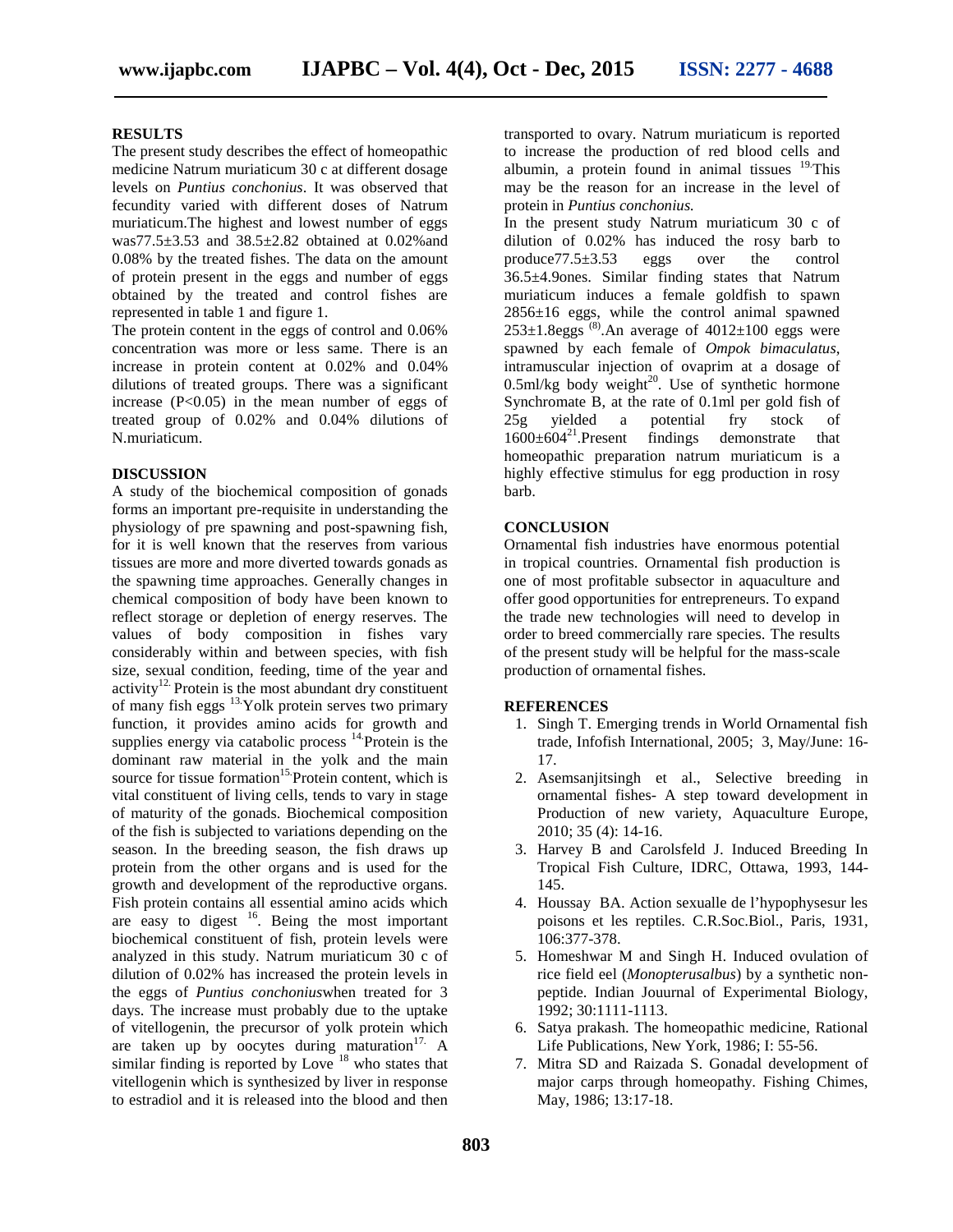#### **RESULTS**

The present study describes the effect of homeopathic medicine Natrum muriaticum 30 c at different dosage levels on *Puntius conchonius*. It was observed that fecundity varied with different doses of Natrum muriaticum.The highest and lowest number of eggs was77.5±3.53 and 38.5±2.82 obtained at 0.02%and 0.08% by the treated fishes. The data on the amount of protein present in the eggs and number of eggs obtained by the treated and control fishes are represented in table 1 and figure 1.

The protein content in the eggs of control and 0.06% concentration was more or less same. There is an increase in protein content at 0.02% and 0.04% dilutions of treated groups. There was a significant increase  $(P<0.05)$  in the mean number of eggs of treated group of 0.02% and 0.04% dilutions of N.muriaticum.

#### **DISCUSSION**

A study of the biochemical composition of gonads forms an important pre-requisite in understanding the physiology of pre spawning and post-spawning fish, for it is well known that the reserves from various tissues are more and more diverted towards gonads as the spawning time approaches. Generally changes in chemical composition of body have been known to reflect storage or depletion of energy reserves. The values of body composition in fishes vary considerably within and between species, with fish size, sexual condition, feeding, time of the year and activity<sup>12.</sup> Protein is the most abundant dry constituent of many fish eggs 13.Yolk protein serves two primary function, it provides amino acids for growth and supplies energy via catabolic process  $14$ . Protein is the dominant raw material in the yolk and the main source for tissue formation<sup>15.</sup>Protein content, which is vital constituent of living cells, tends to vary in stage of maturity of the gonads. Biochemical composition of the fish is subjected to variations depending on the season. In the breeding season, the fish draws up protein from the other organs and is used for the growth and development of the reproductive organs. Fish protein contains all essential amino acids which are easy to digest <sup>16</sup>. Being the most important biochemical constituent of fish, protein levels were analyzed in this study. Natrum muriaticum 30 c of dilution of 0.02% has increased the protein levels in the eggs of *Puntius conchonius*when treated for 3 days. The increase must probably due to the uptake of vitellogenin, the precursor of yolk protein which are taken up by oocytes during maturation $17$ . A similar finding is reported by Love  $18$  who states that vitellogenin which is synthesized by liver in response to estradiol and it is released into the blood and then

transported to ovary. Natrum muriaticum is reported to increase the production of red blood cells and albumin, a protein found in animal tissues  $19$ . This may be the reason for an increase in the level of protein in *Puntius conchonius.*

In the present study Natrum muriaticum 30 c of dilution of 0.02% has induced the rosy barb to produce77.5±3.53 eggs over the control 36.5±4.9ones. Similar finding states that Natrum muriaticum induces a female goldfish to spawn  $2856\pm16$  eggs, while the control animal spawned  $253\pm1.8$ eggs  $^{(8)}$ .An average of  $4012\pm100$  eggs were spawned by each female of *Ompok bimaculatus*, intramuscular injection of ovaprim at a dosage of  $0.5$ ml/kg body weight<sup>20</sup>. Use of synthetic hormone Synchromate B, at the rate of 0.1ml per gold fish of  $25g$  yielded a potential fry stock of  $1600\pm604^{21}$ . Present findings demonstrate that  $1600 \pm 604^{21}$ .Present findings demonstrate that homeopathic preparation natrum muriaticum is a highly effective stimulus for egg production in rosy barb.

#### **CONCLUSION**

Ornamental fish industries have enormous potential in tropical countries. Ornamental fish production is one of most profitable subsector in aquaculture and offer good opportunities for entrepreneurs. To expand the trade new technologies will need to develop in order to breed commercially rare species. The results of the present study will be helpful for the mass-scale production of ornamental fishes.

#### **REFERENCES**

- 1. Singh T. Emerging trends in World Ornamental fish trade, Infofish International, 2005; 3, May/June: 16- 17.
- 2. Asemsanjitsingh et al., Selective breeding in ornamental fishes- A step toward development in Production of new variety, Aquaculture Europe, 2010; 35 (4): 14-16.
- 3. Harvey B and Carolsfeld J. Induced Breeding In Tropical Fish Culture, IDRC, Ottawa, 1993, 144- 145.
- 4. Houssay BA. Action sexualle de l'hypophysesur les poisons et les reptiles. C.R.Soc.Biol., Paris, 1931, 106:377-378.
- 5. Homeshwar M and Singh H. Induced ovulation of rice field eel (*Monopterusalbus*) by a synthetic non peptide. Indian Jouurnal of Experimental Biology, 1992; 30:1111-1113.
- 6. Satya prakash. The homeopathic medicine, Rational Life Publications, New York, 1986; I: 55-56.
- 7. Mitra SD and Raizada S. Gonadal development of major carps through homeopathy. Fishing Chimes, May, 1986; 13:17-18.